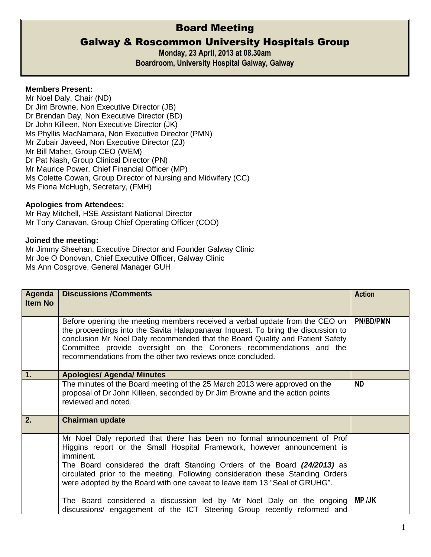# Board Meeting

## Galway & Roscommon University Hospitals Group

**Monday, 23 April, 2013 at 08.30am** 

**Boardroom, University Hospital Galway, Galway** 

#### **Members Present:**

Mr Noel Daly, Chair (ND) Dr Jim Browne, Non Executive Director (JB) Dr Brendan Day, Non Executive Director (BD) Dr John Killeen, Non Executive Director (JK) Ms Phyllis MacNamara, Non Executive Director (PMN) Mr Zubair Javeed**,** Non Executive Director (ZJ) Mr Bill Maher, Group CEO (WEM) Dr Pat Nash, Group Clinical Director (PN) Mr Maurice Power, Chief Financial Officer (MP) Ms Colette Cowan, Group Director of Nursing and Midwifery (CC) Ms Fiona McHugh, Secretary, (FMH)

### **Apologies from Attendees:**

Mr Ray Mitchell, HSE Assistant National Director Mr Tony Canavan, Group Chief Operating Officer (COO)

#### **Joined the meeting:**

Mr Jimmy Sheehan, Executive Director and Founder Galway Clinic Mr Joe O Donovan, Chief Executive Officer, Galway Clinic Ms Ann Cosgrove, General Manager GUH

| Agenda<br><b>Item No</b> | <b>Discussions /Comments</b>                                                                                                                                                                                                                                                                                                                                                                                  | <b>Action</b> |
|--------------------------|---------------------------------------------------------------------------------------------------------------------------------------------------------------------------------------------------------------------------------------------------------------------------------------------------------------------------------------------------------------------------------------------------------------|---------------|
|                          | Before opening the meeting members received a verbal update from the CEO on<br>the proceedings into the Savita Halappanavar Inquest. To bring the discussion to<br>conclusion Mr Noel Daly recommended that the Board Quality and Patient Safety<br>Committee provide oversight on the Coroners recommendations and the<br>recommendations from the other two reviews once concluded.                         | PN/BD/PMN     |
| 1.                       | <b>Apologies/ Agenda/ Minutes</b>                                                                                                                                                                                                                                                                                                                                                                             |               |
|                          | The minutes of the Board meeting of the 25 March 2013 were approved on the<br>proposal of Dr John Killeen, seconded by Dr Jim Browne and the action points<br>reviewed and noted.                                                                                                                                                                                                                             | <b>ND</b>     |
| 2.                       | <b>Chairman update</b>                                                                                                                                                                                                                                                                                                                                                                                        |               |
|                          | Mr Noel Daly reported that there has been no formal announcement of Prof<br>Higgins report or the Small Hospital Framework, however announcement is<br>imminent.<br>The Board considered the draft Standing Orders of the Board (24/2013) as<br>circulated prior to the meeting. Following consideration these Standing Orders<br>were adopted by the Board with one caveat to leave item 13 "Seal of GRUHG". |               |
|                          | The Board considered a discussion led by Mr Noel Daly on the ongoing<br>discussions/ engagement of the ICT Steering Group recently reformed and                                                                                                                                                                                                                                                               | <b>MP /JK</b> |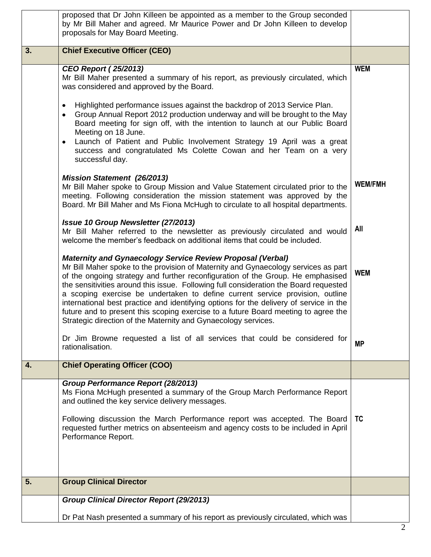|    | proposed that Dr John Killeen be appointed as a member to the Group seconded<br>by Mr Bill Maher and agreed. Mr Maurice Power and Dr John Killeen to develop<br>proposals for May Board Meeting.                                                                                                                                                                                                                                                                                                                                                                                                                                                                       |                |
|----|------------------------------------------------------------------------------------------------------------------------------------------------------------------------------------------------------------------------------------------------------------------------------------------------------------------------------------------------------------------------------------------------------------------------------------------------------------------------------------------------------------------------------------------------------------------------------------------------------------------------------------------------------------------------|----------------|
| 3. | <b>Chief Executive Officer (CEO)</b>                                                                                                                                                                                                                                                                                                                                                                                                                                                                                                                                                                                                                                   |                |
|    | <b>CEO Report (25/2013)</b><br>Mr Bill Maher presented a summary of his report, as previously circulated, which<br>was considered and approved by the Board.                                                                                                                                                                                                                                                                                                                                                                                                                                                                                                           | <b>WEM</b>     |
|    | Highlighted performance issues against the backdrop of 2013 Service Plan.<br>$\bullet$<br>Group Annual Report 2012 production underway and will be brought to the May<br>$\bullet$<br>Board meeting for sign off, with the intention to launch at our Public Board<br>Meeting on 18 June.<br>Launch of Patient and Public Involvement Strategy 19 April was a great<br>$\bullet$<br>success and congratulated Ms Colette Cowan and her Team on a very<br>successful day.                                                                                                                                                                                               |                |
|    | <b>Mission Statement (26/2013)</b><br>Mr Bill Maher spoke to Group Mission and Value Statement circulated prior to the<br>meeting. Following consideration the mission statement was approved by the<br>Board. Mr Bill Maher and Ms Fiona McHugh to circulate to all hospital departments.                                                                                                                                                                                                                                                                                                                                                                             | <b>WEM/FMH</b> |
|    | Issue 10 Group Newsletter (27/2013)<br>Mr Bill Maher referred to the newsletter as previously circulated and would<br>welcome the member's feedback on additional items that could be included.                                                                                                                                                                                                                                                                                                                                                                                                                                                                        | All            |
|    | <b>Maternity and Gynaecology Service Review Proposal (Verbal)</b><br>Mr Bill Maher spoke to the provision of Maternity and Gynaecology services as part<br>of the ongoing strategy and further reconfiguration of the Group. He emphasised<br>the sensitivities around this issue. Following full consideration the Board requested<br>a scoping exercise be undertaken to define current service provision, outline<br>international best practice and identifying options for the delivery of service in the<br>future and to present this scoping exercise to a future Board meeting to agree the<br>Strategic direction of the Maternity and Gynaecology services. | <b>WEM</b>     |
|    | Dr Jim Browne requested a list of all services that could be considered for<br>rationalisation.                                                                                                                                                                                                                                                                                                                                                                                                                                                                                                                                                                        | <b>MP</b>      |
| 4. | <b>Chief Operating Officer (COO)</b>                                                                                                                                                                                                                                                                                                                                                                                                                                                                                                                                                                                                                                   |                |
|    | Group Performance Report (28/2013)<br>Ms Fiona McHugh presented a summary of the Group March Performance Report<br>and outlined the key service delivery messages.<br>Following discussion the March Performance report was accepted. The Board<br>requested further metrics on absenteeism and agency costs to be included in April                                                                                                                                                                                                                                                                                                                                   | <b>TC</b>      |
|    | Performance Report.                                                                                                                                                                                                                                                                                                                                                                                                                                                                                                                                                                                                                                                    |                |
| 5. | <b>Group Clinical Director</b>                                                                                                                                                                                                                                                                                                                                                                                                                                                                                                                                                                                                                                         |                |
|    | <b>Group Clinical Director Report (29/2013)</b>                                                                                                                                                                                                                                                                                                                                                                                                                                                                                                                                                                                                                        |                |
|    | Dr Pat Nash presented a summary of his report as previously circulated, which was                                                                                                                                                                                                                                                                                                                                                                                                                                                                                                                                                                                      | 2              |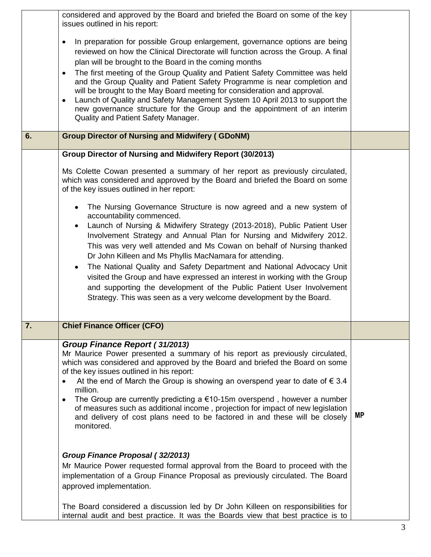|    | considered and approved by the Board and briefed the Board on some of the key<br>issues outlined in his report:                                                                                                                                                                                                                                                                                                                                                                                                                                                                                                                                                                                             |           |
|----|-------------------------------------------------------------------------------------------------------------------------------------------------------------------------------------------------------------------------------------------------------------------------------------------------------------------------------------------------------------------------------------------------------------------------------------------------------------------------------------------------------------------------------------------------------------------------------------------------------------------------------------------------------------------------------------------------------------|-----------|
|    | In preparation for possible Group enlargement, governance options are being<br>$\bullet$<br>reviewed on how the Clinical Directorate will function across the Group. A final<br>plan will be brought to the Board in the coming months<br>The first meeting of the Group Quality and Patient Safety Committee was held<br>$\bullet$<br>and the Group Quality and Patient Safety Programme is near completion and<br>will be brought to the May Board meeting for consideration and approval.<br>Launch of Quality and Safety Management System 10 April 2013 to support the<br>$\bullet$<br>new governance structure for the Group and the appointment of an interim<br>Quality and Patient Safety Manager. |           |
| 6. | <b>Group Director of Nursing and Midwifery (GDoNM)</b>                                                                                                                                                                                                                                                                                                                                                                                                                                                                                                                                                                                                                                                      |           |
|    | Group Director of Nursing and Midwifery Report (30/2013)                                                                                                                                                                                                                                                                                                                                                                                                                                                                                                                                                                                                                                                    |           |
|    | Ms Colette Cowan presented a summary of her report as previously circulated,<br>which was considered and approved by the Board and briefed the Board on some<br>of the key issues outlined in her report:                                                                                                                                                                                                                                                                                                                                                                                                                                                                                                   |           |
|    | The Nursing Governance Structure is now agreed and a new system of<br>accountability commenced.<br>Launch of Nursing & Midwifery Strategy (2013-2018), Public Patient User<br>$\bullet$<br>Involvement Strategy and Annual Plan for Nursing and Midwifery 2012.<br>This was very well attended and Ms Cowan on behalf of Nursing thanked<br>Dr John Killeen and Ms Phyllis MacNamara for attending.<br>The National Quality and Safety Department and National Advocacy Unit<br>visited the Group and have expressed an interest in working with the Group<br>and supporting the development of the Public Patient User Involvement<br>Strategy. This was seen as a very welcome development by the Board.  |           |
| 7. | <b>Chief Finance Officer (CFO)</b>                                                                                                                                                                                                                                                                                                                                                                                                                                                                                                                                                                                                                                                                          |           |
|    | <b>Group Finance Report (31/2013)</b><br>Mr Maurice Power presented a summary of his report as previously circulated,<br>which was considered and approved by the Board and briefed the Board on some<br>of the key issues outlined in his report:<br>At the end of March the Group is showing an overspend year to date of $\epsilon$ 3.4<br>$\bullet$<br>million.<br>The Group are currently predicting a $€10-15m$ overspend, however a number<br>$\bullet$<br>of measures such as additional income, projection for impact of new legislation<br>and delivery of cost plans need to be factored in and these will be closely<br>monitored.                                                              | <b>MP</b> |
|    | Group Finance Proposal (32/2013)<br>Mr Maurice Power requested formal approval from the Board to proceed with the<br>implementation of a Group Finance Proposal as previously circulated. The Board<br>approved implementation.<br>The Board considered a discussion led by Dr John Killeen on responsibilities for                                                                                                                                                                                                                                                                                                                                                                                         |           |
|    | internal audit and best practice. It was the Boards view that best practice is to                                                                                                                                                                                                                                                                                                                                                                                                                                                                                                                                                                                                                           |           |